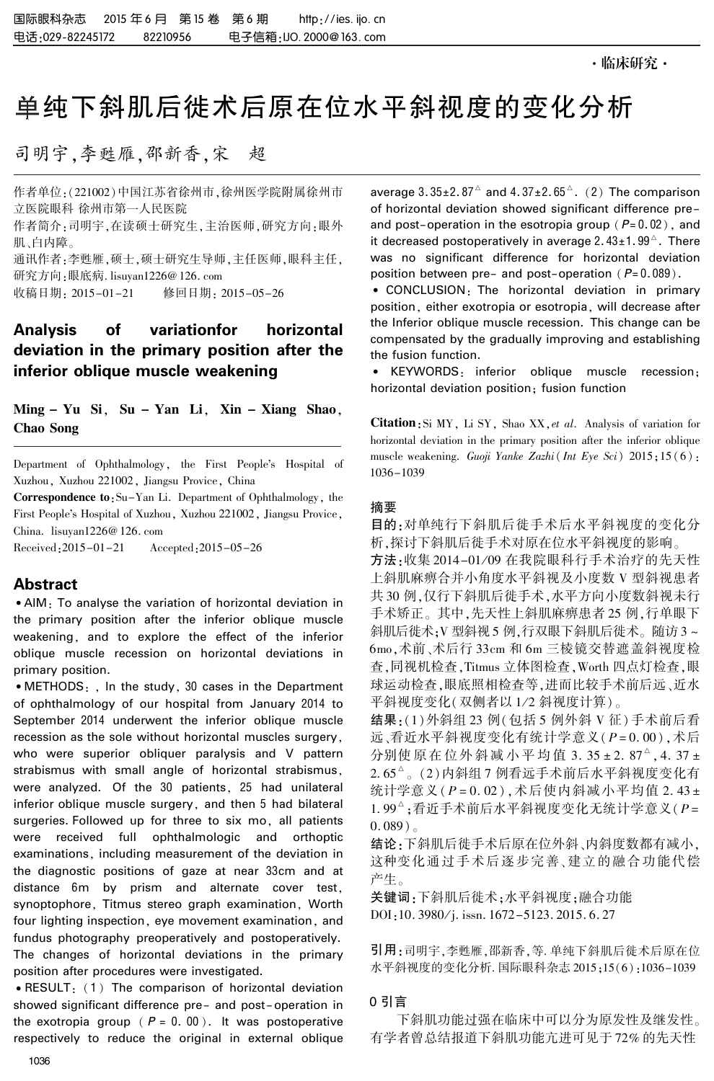# 单纯下斜肌后徙术后原在位水平斜视度的变化分析

司明宇,李甦雁,邵新香,宋 超

作者单位:(221002)中国江苏省徐州市,徐州医学院附属徐州市 立医院眼科 徐州市第一人民医院

作者简介:司明宇,在读硕士研究生,主治医师,研究方向:眼外 肌、白内障。

通讯作者:李甦雁,硕士,硕士研究生导师,主任医师,眼科主任, 研究方向:眼底病. lisuyan1226@ 126. com

修回日期: 2015-05-26

# Analysis of variationfor horizontal deviation in the primary position after the inferior oblique muscle weakening

Ming - Yu Si, Su - Yan Li, Xin - Xiang Shao, Chao Song

Department of Ophthalmology, the First People's Hospital of Xuzhou, Xuzhou 221002, Jiangsu Provice, China

Correspondence to: Su-Yan Li. Department of Ophthalmology, the First People's Hospital of Xuzhou, Xuzhou 221002, Jiangsu Provice, China. lisuyan1226@ 126. com

Received:2015-01-21 Accepted:2015-05-26

# Abstract

<sup>誗</sup>AIM: To analyse the variation of horizontal deviation in the primary position after the inferior oblique muscle weakening, and to explore the effect of the inferior oblique muscle recession on horizontal deviations in primary position.

• METHODS: , In the study, 30 cases in the Department of ophthalmology of our hospital from January 2014 to September 2014 underwent the inferior oblique muscle recession as the sole without horizontal muscles surgery, who were superior obliquer paralysis and V pattern strabismus with small angle of horizontal strabismus, were analyzed. Of the 30 patients, 25 had unilateral inferior oblique muscle surgery, and then 5 had bilateral surgeries. Followed up for three to six mo, all patients were received full ophthalmologic and orthoptic examinations, including measurement of the deviation in the diagnostic positions of gaze at near 33cm and at distance 6m by prism and alternate cover test, synoptophore, Titmus stereo graph examination, Worth four lighting inspection, eye movement examination, and fundus photography preoperatively and postoperatively. The changes of horizontal deviations in the primary position after procedures were investigated.

 $\bullet$  RESULT: (1) The comparison of horizontal deviation showed significant difference pre- and post-operation in the exotropia group ( $P = 0.00$ ). It was postoperative respectively to reduce the original in external oblique

average  $3.35\pm2.87^{\circ}$  and  $4.37\pm2.65^{\circ}$ .  $(2)$  The comparison of horizontal deviation showed significant difference preand post-operation in the esotropia group ( $P= 0.02$ ), and it decreased postoperatively in average 2.43 $\pm$ 1.99 $^\vartriangle$ . There was no significant difference for horizontal deviation position between pre- and post-operation ( $P = 0.089$ ).

<sup>誗</sup> CONCLUSION: The horizontal deviation in primary position, either exotropia or esotropia, will decrease after the Inferior oblique muscle recession. This change can be compensated by the gradually improving and establishing the fusion function.

<sup>誗</sup> KEYWORDS: inferior oblique muscle recession; horizontal deviation position; fusion function

Citation: Si MY, Li SY, Shao XX, et al. Analysis of variation for horizontal deviation in the primary position after the inferior oblique muscle weakening. Guoji Yanke Zazhi (Int Eye Sci) 2015;15 (6): 1036-1039

## 摘要

目的:对单纯行下斜肌后徙手术后水平斜视度的变化分 析,探讨下斜肌后徙手术对原在位水平斜视度的影响。

方法:收集 2014-01/09 在我院眼科行手术治疗的先天性 上斜肌麻痹合并小角度水平斜视及小度数 V 型斜视患者 共 30 例,仅行下斜肌后徙手术,水平方向小度数斜视未行 手术矫正。 其中,先天性上斜肌麻痹患者 25 例,行单眼下 斜肌后徙术;V型斜视 5 例,行双眼下斜肌后徙术。随访 3 ~ 6mo,术前、术后行 33cm 和 6m 三棱镜交替遮盖斜视度检 查,同视机检查,Titmus 立体图检查,Worth 四点灯检查,眼 球运动检查,眼底照相检查等,进而比较手术前后远、近水 平斜视度变化(双侧者以 1/2 斜视度计算)。

结果:(1)外斜组 23 例(包括 5 例外斜 V 征)手术前后看 远、看近水平斜视度变化有统计学意义(P = 0. 00),术后 分别使 原 在 位 外 斜 减 小 平 均 值 3. 35 ± 2. 87<sup>A</sup>, 4. 37 ±  $2.65^\circ$  。(2)内斜组 7 例看远手术前后水平斜视度变化有 统计学意义 $(P = 0.02)$ , 术后使内斜减小平均值 2.43 ± 1.99 $^\circ$ ;看近手术前后水平斜视度变化无统计学意义(P=  $(0.089)$ <sub>o</sub>

结论:下斜肌后徙手术后原在位外斜、内斜度数都有减小, 这种变化通过手术后逐步完善、建立的融合功能代偿 产生。

关键词:下斜肌后徙术;水平斜视度;融合功能 DOI:10. 3980/j. issn. 1672-5123. 2015. 6. 27

引用:司明宇,李甦雁,邵新香,等. 单纯下斜肌后徙术后原在位 水平斜视度的变化分析. 国际眼科杂志 2015;15(6):1036-1039

### 0 引言

下斜肌功能过强在临床中可以分为原发性及继发性。 有学者曾总结报道下斜肌功能亢进可见于 72% 的先天性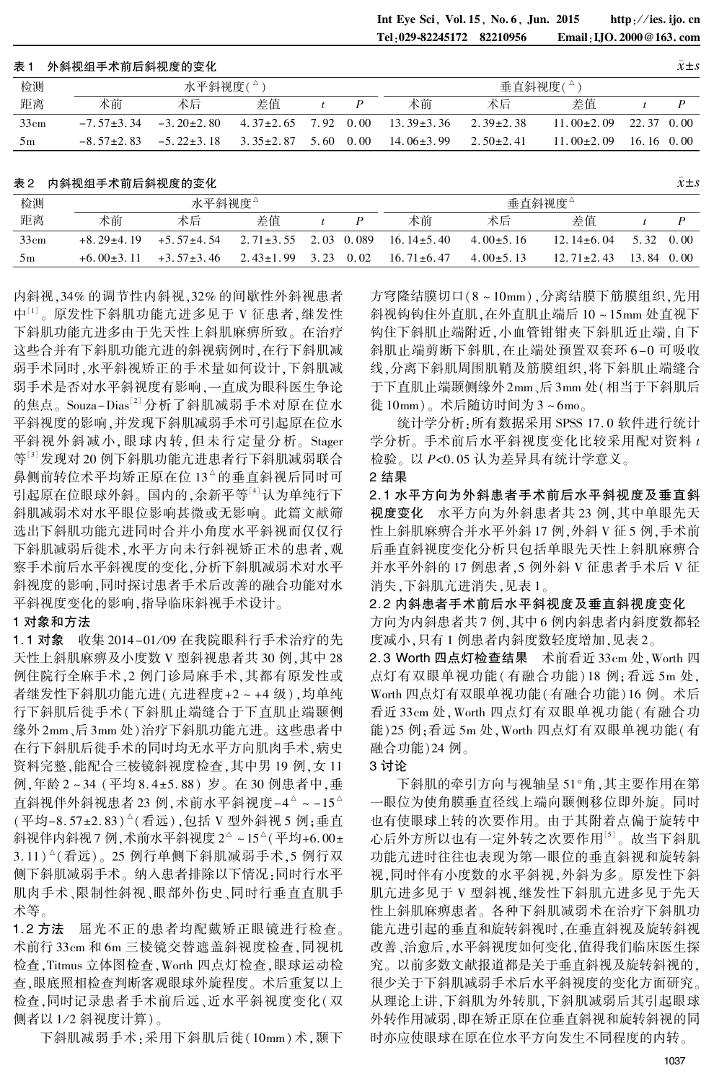Int Eye Sci, Vol. 15, No. 6, Jun. 2015 http://ies. ijo. cn<br>Tel 029-82245172 82210956 Email LIO. 2000@163. com Email: IJO. 2000@163. com

#### 表 1 外斜视组手术前后斜视度的变化 x  $\bar{x}$ ±s

| 检测             | 水平斜视度(△)         |                  |                           |      |      | 垂直斜视度( $^{\circ}$ |                 |                             |                    |  |  |  |
|----------------|------------------|------------------|---------------------------|------|------|-------------------|-----------------|-----------------------------|--------------------|--|--|--|
| 距离             | 术前               | 术后               | 差值                        |      |      | 术前                | 术后              | 差值                          |                    |  |  |  |
| 33cm           | $-7.57 \pm 3.34$ | $-3.20 \pm 2.80$ | $4.37\pm2.65$ $7.92$ 0.00 |      |      | $13.39 \pm 3.36$  | 2.39 $\pm$ 2.38 | $11.00 \pm 2.09$ 22.37 0.00 |                    |  |  |  |
| 5 <sub>m</sub> | $-8.57+2.83$     | $-5.22 \pm 3.18$ | $3.35\pm2.87$             | 5.60 | 0.00 | $14.06 \pm 3.99$  | 2.50 $\pm$ 2.41 | $11.00 \pm 2.09$            | $16.16 \quad 0.00$ |  |  |  |

#### 表 2 内斜视组手术前后斜视度的变化  $\bar{x}$

| 检测   | 水平斜视度△         |                |                 |      |            | 垂直斜视度△           |                 |                |            |      |
|------|----------------|----------------|-----------------|------|------------|------------------|-----------------|----------------|------------|------|
| 距离   | 术前             | 术后             | 差值              |      |            | 术前               | 术后              | 差值             |            |      |
| 33cm | $+8.29\pm4.19$ | $+5.57+4.54$   | $2.71 \pm 3.55$ |      | 2.03 0.089 | $16.14 \pm 5.40$ | $4.00 \pm 5.16$ | $12.14 + 6.04$ | 5 32       | 0.00 |
| 5m   | $+6.00+3.11$   | $+3.57\pm3.46$ | $2.43 \pm 1.99$ | 3.23 | 0.02       | $16.71 \pm 6.47$ | $4.00 \pm 5.13$ | $12.71 + 2.43$ | 13.84 0.00 |      |

内斜视,34% 的调节性内斜视,32% 的间歇性外斜视患者 中<sup>山</sup>。原发性下斜肌功能亢进多见于 V 征患者,继发性 下斜肌功能亢进多由于先天性上斜肌麻痹所致。 在治疗 这些合并有下斜肌功能亢进的斜视病例时,在行下斜肌减 弱手术同时,水平斜视矫正的手术量如何设计,下斜肌减 弱手术是否对水平斜视度有影响,一直成为眼科医生争论 的焦点。Souza-Dias'<sup>[2]</sup> 分析了斜肌减弱手术对原在位水 平斜视度的影响,并发现下斜肌减弱手术可引起原在位水 平斜视外斜减小,眼球内转,但未 行 定 量 分 析。 Stager 等[3]发现对 20 例下斜肌功能亢进患者行下斜肌减弱联合 鼻侧前转位术平均矫正原在位 13<sup>△</sup>的垂直斜视后同时可 引起原在位眼球外斜。 国内的,余新平等[4]认为单纯行下 斜肌减弱术对水平眼位影响甚微或无影响。 此篇文献筛 选出下斜肌功能亢进同时合并小角度水平斜视而仅仅行 下斜肌减弱后徙术,水平方向未行斜视矫正术的患者,观 察手术前后水平斜视度的变化,分析下斜肌减弱术对水平 斜视度的影响,同时探讨患者手术后改善的融合功能对水 平斜视度变化的影响,指导临床斜视手术设计。

#### 1 对象和方法

1.1 对象 收集 2014-01/09 在我院眼科行手术治疗的先 天性上斜肌麻痹及小度数 V 型斜视患者共 30 例,其中 28 例住院行全麻手术,2 例门诊局麻手术,其都有原发性或 者继发性下斜肌功能亢进(亢进程度+2 ~ +4 级),均单纯 行下斜肌后徙手术(下斜肌止端缝合于下直肌止端颞侧 缘外 2mm、后 3mm 处)治疗下斜肌功能亢进。 这些患者中 在行下斜肌后徙手术的同时均无水平方向肌肉手术,病史 资料完整,能配合三棱镜斜视度检查,其中男 19 例,女 11 例,年龄 2~34 (平均 8.4±5.88) 岁。在 30 例患者中,垂 直斜视伴外斜视患者 23 例,术前水平斜视度-4<sup>^</sup> ~ -15<sup>^</sup> (平均-8.57±2.83)^(看远),包括 V 型外斜视 5 例;垂直 斜视伴内斜视7例,术前水平斜视度2 $^{\circ}$ ~15 $^{\circ}$ (平均+6.00± 3. 11) 吟 (看远)。 25 例行单侧下斜肌减弱手术,5 例行双 侧下斜肌减弱手术。 纳入患者排除以下情况:同时行水平 肌肉手术、限制性斜视、眼部外伤史、同时行垂直直肌手 术等。

1.2 方法 屈光不正的患者均配戴矫正眼镜进行检查。 术前行 33cm 和 6m 三棱镜交替遮盖斜视度检查,同视机 检查,Titmus 立体图检查,Worth 四点灯检查,眼球运动检 查,眼底照相检查判断客观眼球外旋程度。 术后重复以上 检查,同时记录患者手术前后远、近水平斜视度变化(双 侧者以 1/2 斜视度计算)。

下斜肌减弱手术:采用下斜肌后徙(10mm) 术,颞下

方穹隆结膜切口(8 ~ 10mm),分离结膜下筋膜组织,先用 斜视钩钩住外直肌,在外直肌止端后 10 ~ 15mm 处直视下 钩住下斜肌止端附近,小血管钳钳夹下斜肌近止端,自下 斜肌止端剪断下斜肌,在止端处预置双套环 6 -0 可吸收 线,分离下斜肌周围肌鞘及筋膜组织,将下斜肌止端缝合 于下直肌止端颞侧缘外 2mm、后 3mm 处(相当于下斜肌后 徙 10mm)。 术后随访时间为 3 ~ 6mo。

统计学分析:所有数据采用 SPSS 17. 0 软件进行统计 学分析。手术前后水平斜视度变化比较采用配对资料 t 检验。 以 P<0. 05 认为差异具有统计学意义。

#### 2 结果

2. 1 水平方向为外斜患者手术前后水平斜视度及垂直斜 视度变化 水平方向为外斜患者共 23 例,其中单眼先天 性上斜肌麻痹合并水平外斜 17 例,外斜 V 征 5 例,手术前 后垂直斜视度变化分析只包括单眼先天性上斜肌麻痹合 并水平外斜的 17 例患者,5 例外斜 V 征患者手术后 V 征 消失,下斜肌亢进消失,见表 1。

2. 2 内斜患者手术前后水平斜视度及垂直斜视度变化 方向为内斜患者共7例,其中6例内斜患者内斜度数都轻 度减小,只有 1 例患者内斜度数轻度增加,见表 2。

2. 3 Worth 四点灯检查结果 术前看近 33cm 处,Worth 四 点灯有双眼单视功能(有融合功能) 18 例;看远 5m 处, Worth 四点灯有双眼单视功能(有融合功能)16 例。 术后 看近 33cm 处,Worth 四点灯有双眼单视功能(有融合功 能)25 例;看远 5m 处,Worth 四点灯有双眼单视功能(有 融合功能)24 例。

# 3 讨论

下斜肌的牵引方向与视轴呈 51°角,其主要作用在第 一眼位为使角膜垂直径线上端向颞侧移位即外旋。 同时 也有使眼球上转的次要作用。 由于其附着点偏于旋转中 心后外方所以也有一定外转之次要作用<sup>[5]</sup>。故当下斜肌 功能亢进时往往也表现为第一眼位的垂直斜视和旋转斜 视,同时伴有小度数的水平斜视,外斜为多。 原发性下斜 肌亢进多见于 V 型斜视,继发性下斜肌亢进多见于先天 性上斜肌麻痹患者。 各种下斜肌减弱术在治疗下斜肌功 能亢进引起的垂直和旋转斜视时,在垂直斜视及旋转斜视 改善、治愈后,水平斜视度如何变化,值得我们临床医生探 究。 以前多数文献报道都是关于垂直斜视及旋转斜视的, 很少关于下斜肌减弱手术后水平斜视度的变化方面研究。 从理论上讲,下斜肌为外转肌,下斜肌减弱后其引起眼球 外转作用减弱,即在矫正原在位垂直斜视和旋转斜视的同 时亦应使眼球在原在位水平方向发生不同程度的内转。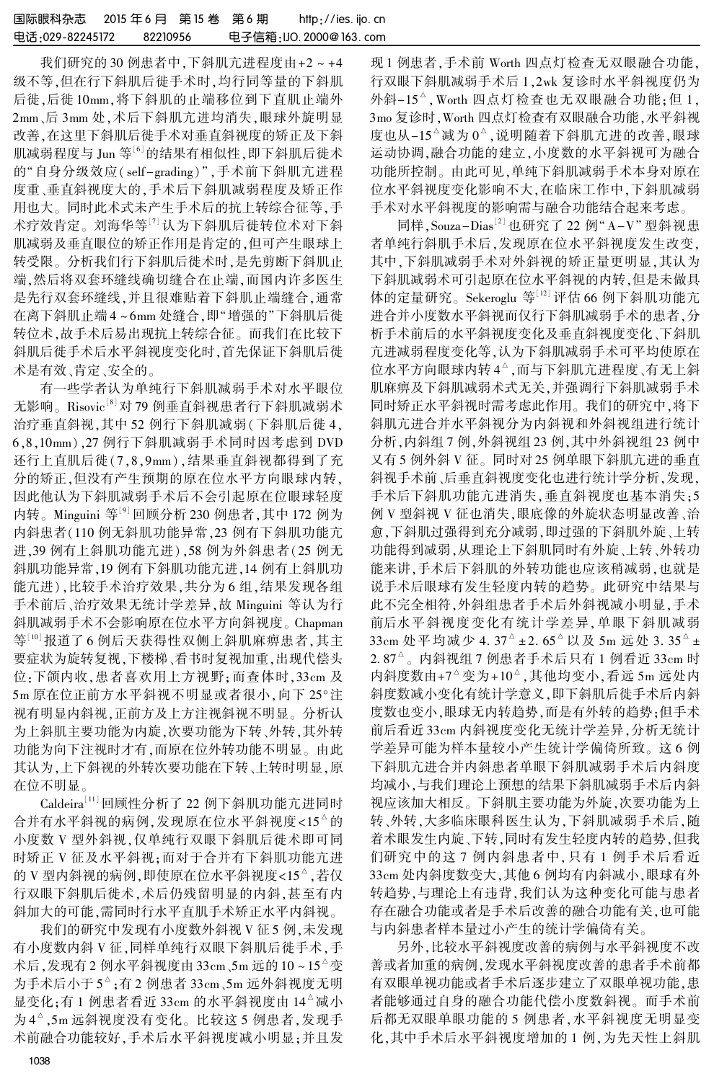我们研究的 30 例患者中,下斜肌亢进程度由+2 ~ +4 级不等,但在行下斜肌后徙手术时,均行同等量的下斜肌 后徙,后徙 10mm,将下斜肌的止端移位到下直肌止端外 2mm、后 3mm 处,术后下斜肌亢进均消失,眼球外旋明显 改善,在这里下斜肌后徙手术对垂直斜视度的矫正及下斜 肌减弱程度与 Jun 等<sup>[6]</sup>的结果有相似性,即下斜肌后徙术 的"自身分级效应(self-grading)",手术前下斜肌亢进程 度重、垂直斜视度大的,手术后下斜肌减弱程度及矫正作 用也大。 同时此术式未产生手术后的抗上转综合征等,手 术疗效肯定。 刘海华等[7] 认为下斜肌后徙转位术对下斜 肌减弱及垂直眼位的矫正作用是肯定的,但可产生眼球上 转受限。 分析我们行下斜肌后徙术时,是先剪断下斜肌止 端,然后将双套环缝线确切缝合在止端,而国内许多医生 是先行双套环缝线,并且很难贴着下斜肌止端缝合,通常 在离下斜肌止端 4~6mm 处缝合,即"增强的"下斜肌后徙 转位术,故手术后易出现抗上转综合征。 而我们在比较下 斜肌后徙手术后水平斜视度变化时,首先保证下斜肌后徙 术是有效、肯定、安全的。

有一些学者认为单纯行下斜肌减弱手术对水平眼位 无影响。Risovic' $^{\mathsf{[8]}}$ 对 79 例垂直斜视患者行下斜肌减弱术 治疗垂直斜视,其中 52 例行下斜肌减弱(下斜肌后徙 4, 6,8,10mm),27 例行下斜肌减弱手术同时因考虑到 DVD 还行上直肌后徙(7,8,9mm),结果垂直斜视都得到了充 分的矫正,但没有产生预期的原在位水平方向眼球内转, 因此他认为下斜肌减弱手术后不会引起原在位眼球轻度 内转。 Minguini 等[9] 回顾分析 230 例患者,其中 172 例为 内斜患者(110 例无斜肌功能异常,23 例有下斜肌功能亢 进,39 例有上斜肌功能亢进),58 例为外斜患者(25 例无 斜肌功能异常,19 例有下斜肌功能亢进,14 例有上斜肌功 能亢进),比较手术治疗效果,共分为 6 组,结果发现各组 手术前后、治疗效果无统计学差异,故 Minguini 等认为行 斜肌减弱手术不会影响原在位水平方向斜视度。 Chapman 等[10]报道了 6 例后天获得性双侧上斜肌麻痹患者,其主 要症状为旋转复视,下楼梯、看书时复视加重,出现代偿头 位:下颌内收,患者喜欢用上方视野;而查体时,33cm 及 5m 原在位正前方水平斜视不明显或者很小,向下 25°注 视有明显内斜视,正前方及上方注视斜视不明显。 分析认 为上斜肌主要功能为内旋,次要功能为下转、外转,其外转 功能为向下注视时才有,而原在位外转功能不明显。 由此 其认为,上下斜视的外转次要功能在下转、上转时明显,原 在位不明显。

 $\operatorname{Caldeira}^{\left( 11\right) }$ 回顾性分析了 22 例下斜肌功能亢进同时 合并有水平斜视的病例,发现原在位水平斜视度<15<sup>△</sup>的 小度数 V 型外斜视,仅单纯行双眼下斜肌后徙术即可同 时矫正 V 征及水平斜视;而对于合并有下斜肌功能亢进 的 V 型内斜视的病例,即使原在位水平斜视度<15<sup>△</sup>,若仅 行双眼下斜肌后徙术,术后仍残留明显的内斜,甚至有内 斜加大的可能,需同时行水平直肌手术矫正水平内斜视。

我们的研究中发现有小度数外斜视 V 征 5 例,未发现 有小度数内斜 V 征,同样单纯行双眼下斜肌后徙手术,手 术后,发现有 2 例水平斜视度由 33cm、5m 远的 10 ~ 15 <sup>吟</sup> 变 为手术后小于 5  $^{\circ}$  ;有 2 例患者 33 cm 、5 m 远外斜视度无明 显变化;有 1 例患者看近 33cm 的水平斜视度由 14^减小 为 4 ^ ,5m 远斜视度没有变化。比较这 5 例患者,发现手 术前融合功能较好,手术后水平斜视度减小明显;并且发

现 1 例患者,手术前 Worth 四点灯检查无双眼融合功能, 行双眼下斜肌减弱手术后 1,2wk 复诊时水平斜视度仍为 外斜-15^A, Worth 四点灯检查也无双眼融合功能;但 1, 3mo 复诊时,Worth 四点灯检查有双眼融合功能,水平斜视 度也从-15^减为 0^, 说明随着下斜肌亢进的改善, 眼球 运动协调,融合功能的建立,小度数的水平斜视可为融合 功能所控制。 由此可见,单纯下斜肌减弱手术本身对原在 位水平斜视度变化影响不大,在临床工作中,下斜肌减弱 手术对水平斜视度的影响需与融合功能结合起来考虑。

同样,Souza-Dias''<sup>」</sup>也研究了 22 例"A-V"型斜视患 者单纯行斜肌手术后,发现原在位水平斜视度发生改变, 其中,下斜肌减弱手术对外斜视的矫正量更明显,其认为 下斜肌减弱术可引起原在位水平斜视的内转,但是未做具 体的定量研究。 Sekeroglu 等[12] 评估 66 例下斜肌功能亢 进合并小度数水平斜视而仅行下斜肌减弱手术的患者,分 析手术前后的水平斜视度变化及垂直斜视度变化、下斜肌 亢进减弱程度变化等,认为下斜肌减弱手术可平均使原在 位水平方向眼球内转 4<sup>a</sup> ,而与下斜肌亢进程度 、有无上斜 肌麻痹及下斜肌减弱术式无关,并强调行下斜肌减弱手术 同时矫正水平斜视时需考虑此作用。 我们的研究中,将下 斜肌亢进合并水平斜视分为内斜视和外斜视组进行统计 分析,内斜组 7 例,外斜视组 23 例,其中外斜视组 23 例中 又有 5 例外斜 V 征。 同时对 25 例单眼下斜肌亢进的垂直 斜视手术前、后垂直斜视度变化也进行统计学分析,发现, 手术后下斜肌功能亢进消失,垂直斜视度也基本消失;5 例 V 型斜视 V 征也消失,眼底像的外旋状态明显改善、治 愈,下斜肌过强得到充分减弱,即过强的下斜肌外旋、上转 功能得到减弱,从理论上下斜肌同时有外旋、上转、外转功 能来讲,手术后下斜肌的外转功能也应该稍减弱,也就是 说手术后眼球有发生轻度内转的趋势。 此研究中结果与 此不完全相符,外斜组患者手术后外斜视减小明显,手术 前后水平斜视度变化有统计学差异,单眼下斜肌减弱 33 cm 处平均减少 4. 37 ^ ± 2. 65 ^ 以及 5 m 远处 3. 35 ^ ±  $2.87^\circ$ 。内斜视组 7 例患者手术后只有 1 例看近 33 $\rm cm$  时 内斜度数由+7<sup>△</sup>变为+10<sup>△</sup>,其他均变小,看远 5m 远处内 斜度数减小变化有统计学意义,即下斜肌后徙手术后内斜 度数也变小,眼球无内转趋势,而是有外转的趋势;但手术 前后看近 33cm 内斜视度变化无统计学差异,分析无统计 学差异可能为样本量较小产生统计学偏倚所致。 这 6 例 下斜肌亢进合并内斜患者单眼下斜肌减弱手术后内斜度 均减小,与我们理论上预想的结果下斜肌减弱手术后内斜 视应该加大相反。 下斜肌主要功能为外旋,次要功能为上 转、外转,大多临床眼科医生认为,下斜肌减弱手术后,随 着术眼发生内旋、下转,同时有发生轻度内转的趋势,但我 们研究中的这 7 例内斜患者中,只有 1 例手术后看近 33cm 处内斜度数变大,其他 6 例均有内斜减小,眼球有外 转趋势,与理论上有违背,我们认为这种变化可能与患者 存在融合功能或者是手术后改善的融合功能有关,也可能 与内斜患者样本量过小产生的统计学偏倚有关。

另外,比较水平斜视度改善的病例与水平斜视度不改 善或者加重的病例,发现水平斜视度改善的患者手术前都 有双眼单视功能或者手术后逐步建立了双眼单视功能,患 者能够通过自身的融合功能代偿小度数斜视。 而手术前 后都无双眼单眼功能的 5 例患者,水平斜视度无明显变 化,其中手术后水平斜视度增加的 1 例,为先天性上斜肌